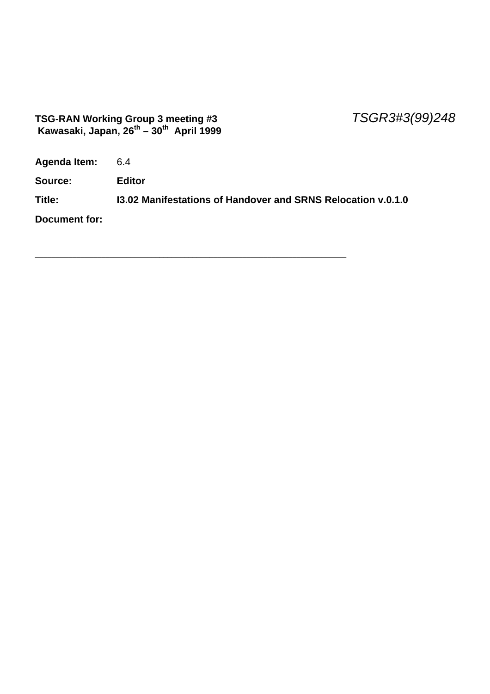#### **TSG-RAN Working Group 3 meeting #3** *TSGR3#3(99)248*  **Kawasaki, Japan, 26th – 30th April 1999**

**Agenda Item:** 6.4

**Source: Editor**

**Title: I3.02 Manifestations of Handover and SRNS Relocation v.0.1.0**

\_\_\_\_\_\_\_\_\_\_\_\_\_\_\_\_\_\_\_\_\_\_\_\_\_\_\_\_\_\_\_\_\_\_\_\_\_\_\_\_\_\_\_\_\_\_\_\_\_\_\_\_\_\_\_\_\_\_\_\_\_\_\_\_\_\_\_\_\_\_\_\_\_\_\_

**Document for:**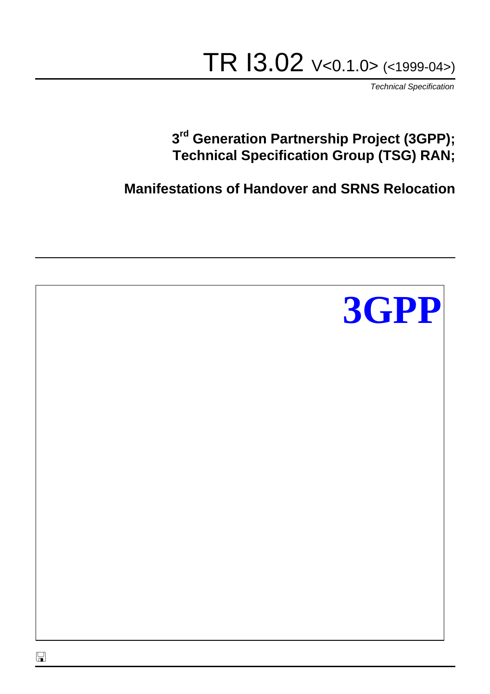# TR I3.02 V<0.1.0> (<1999-04>)

*Technical Specification*

### **3 rd Generation Partnership Project (3GPP); Technical Specification Group (TSG) RAN;**

**Manifestations of Handover and SRNS Relocation**

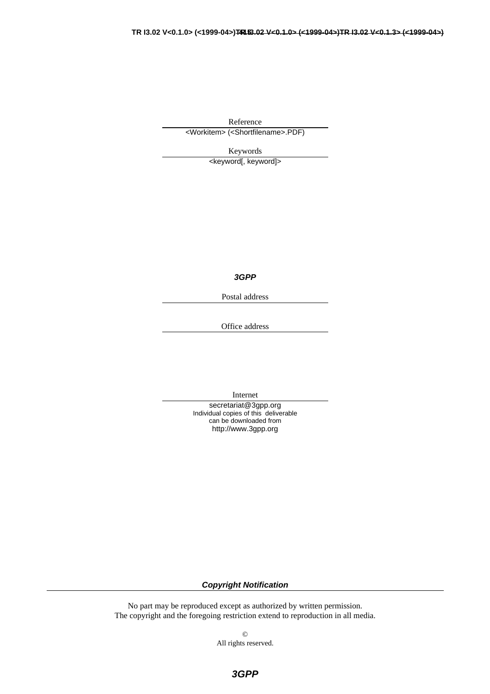Reference

<Workitem> (<Shortfilename>.PDF)

Keywords

<keyword[, keyword]>

*3GPP*

Postal address

Office address

Internet

secretariat@3gpp.org Individual copies of this deliverable can be downloaded from http://www.3gpp.org

*Copyright Notification*

No part may be reproduced except as authorized by written permission. The copyright and the foregoing restriction extend to reproduction in all media.

> © All rights reserved.

> > *3GPP*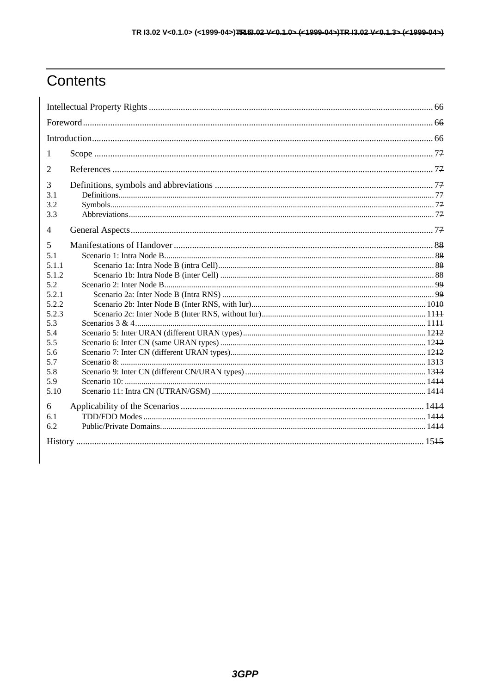### Contents

| $\mathbf{I}$ |  |  |  |  |  |
|--------------|--|--|--|--|--|
| 2            |  |  |  |  |  |
| 3            |  |  |  |  |  |
| 3.1          |  |  |  |  |  |
| 3.2          |  |  |  |  |  |
| 3.3          |  |  |  |  |  |
| 4            |  |  |  |  |  |
| 5            |  |  |  |  |  |
| 5.1          |  |  |  |  |  |
| 5.1.1        |  |  |  |  |  |
| 5.1.2        |  |  |  |  |  |
| 5.2          |  |  |  |  |  |
| 5.2.1        |  |  |  |  |  |
| 5.2.2        |  |  |  |  |  |
| 5.2.3        |  |  |  |  |  |
| 5.3          |  |  |  |  |  |
| 5.4          |  |  |  |  |  |
| 5.5          |  |  |  |  |  |
| 5.6          |  |  |  |  |  |
| 5.7          |  |  |  |  |  |
| 5.8          |  |  |  |  |  |
| 5.9          |  |  |  |  |  |
| 5.10         |  |  |  |  |  |
| 6            |  |  |  |  |  |
| 6.1          |  |  |  |  |  |
| 6.2          |  |  |  |  |  |
|              |  |  |  |  |  |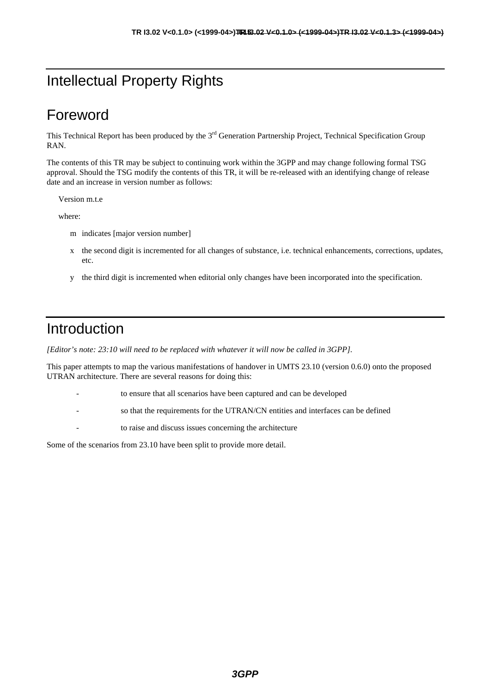### Intellectual Property Rights

### Foreword

This Technical Report has been produced by the  $3<sup>rd</sup>$  Generation Partnership Project, Technical Specification Group RAN.

The contents of this TR may be subject to continuing work within the 3GPP and may change following formal TSG approval. Should the TSG modify the contents of this TR, it will be re-released with an identifying change of release date and an increase in version number as follows:

Version m.t.e

where:

- m indicates [major version number]
- x the second digit is incremented for all changes of substance, i.e. technical enhancements, corrections, updates, etc.
- y the third digit is incremented when editorial only changes have been incorporated into the specification.

### Introduction

*[Editor's note: 23:10 will need to be replaced with whatever it will now be called in 3GPP].*

This paper attempts to map the various manifestations of handover in UMTS 23.10 (version 0.6.0) onto the proposed UTRAN architecture. There are several reasons for doing this:

- to ensure that all scenarios have been captured and can be developed
- so that the requirements for the UTRAN/CN entities and interfaces can be defined
- to raise and discuss issues concerning the architecture

Some of the scenarios from 23.10 have been split to provide more detail.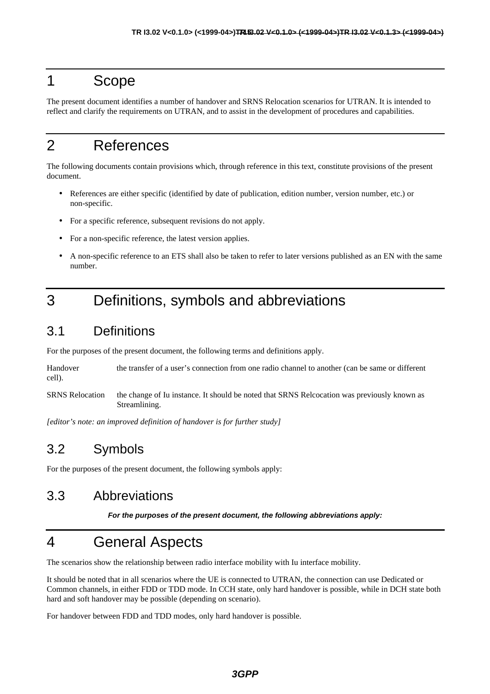### 1 Scope

The present document identifies a number of handover and SRNS Relocation scenarios for UTRAN. It is intended to reflect and clarify the requirements on UTRAN, and to assist in the development of procedures and capabilities.

### 2 References

The following documents contain provisions which, through reference in this text, constitute provisions of the present document.

- References are either specific (identified by date of publication, edition number, version number, etc.) or non-specific.
- For a specific reference, subsequent revisions do not apply.
- For a non-specific reference, the latest version applies.
- A non-specific reference to an ETS shall also be taken to refer to later versions published as an EN with the same number.

### 3 Definitions, symbols and abbreviations

#### 3.1 Definitions

For the purposes of the present document, the following terms and definitions apply.

Handover the transfer of a user's connection from one radio channel to another (can be same or different cell).

SRNS Relocation the change of Iu instance. It should be noted that SRNS Relcocation was previously known as Streamlining.

*[editor's note: an improved definition of handover is for further study]*

#### 3.2 Symbols

For the purposes of the present document, the following symbols apply:

#### 3.3 Abbreviations

*For the purposes of the present document, the following abbreviations apply:*

#### 4 General Aspects

The scenarios show the relationship between radio interface mobility with Iu interface mobility.

It should be noted that in all scenarios where the UE is connected to UTRAN, the connection can use Dedicated or Common channels, in either FDD or TDD mode. In CCH state, only hard handover is possible, while in DCH state both hard and soft handover may be possible (depending on scenario).

For handover between FDD and TDD modes, only hard handover is possible.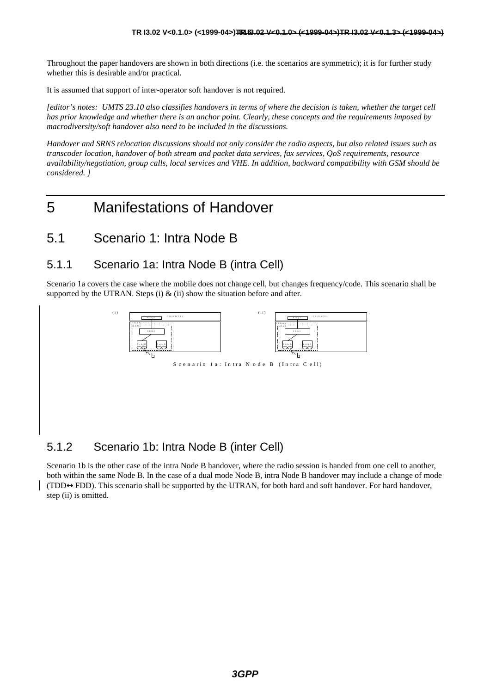Throughout the paper handovers are shown in both directions (i.e. the scenarios are symmetric); it is for further study whether this is desirable and/or practical.

It is assumed that support of inter-operator soft handover is not required.

*[editor's notes: UMTS 23.10 also classifies handovers in terms of where the decision is taken, whether the target cell has prior knowledge and whether there is an anchor point. Clearly, these concepts and the requirements imposed by macrodiversity/soft handover also need to be included in the discussions.*

*Handover and SRNS relocation discussions should not only consider the radio aspects, but also related issues such as transcoder location, handover of both stream and packet data services, fax services, QoS requirements, resource availability/negotiation, group calls, local services and VHE. In addition, backward compatibility with GSM should be considered. ]*

#### 5 Manifestations of Handover

#### 5.1 Scenario 1: Intra Node B

#### 5.1.1 Scenario 1a: Intra Node B (intra Cell)

Scenario 1a covers the case where the mobile does not change cell, but changes frequency/code. This scenario shall be supported by the UTRAN. Steps (i)  $\&$  (ii) show the situation before and after.



#### 5.1.2 Scenario 1b: Intra Node B (inter Cell)

Scenario 1b is the other case of the intra Node B handover, where the radio session is handed from one cell to another, both within the same Node B. In the case of a dual mode Node B, intra Node B handover may include a change of mode (TDD↔FDD). This scenario shall be supported by the UTRAN, for both hard and soft handover. For hard handover, step (ii) is omitted.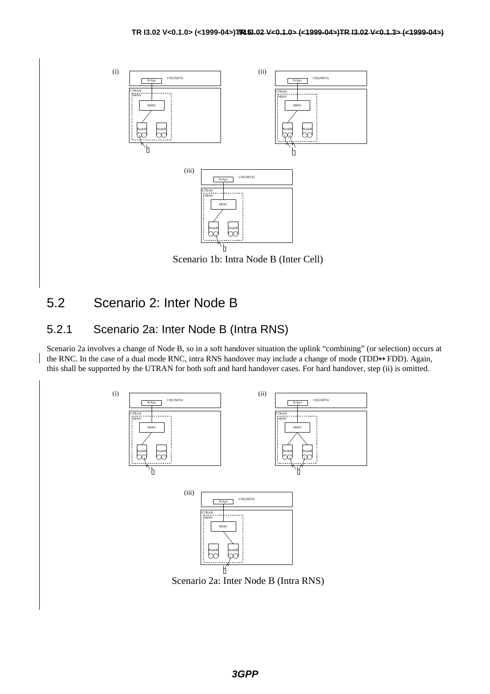

#### 5.2 Scenario 2: Inter Node B

#### 5.2.1 Scenario 2a: Inter Node B (Intra RNS)

Scenario 2a involves a change of Node B, so in a soft handover situation the uplink "combining" (or selection) occurs at the RNC. In the case of a dual mode RNC, intra RNS handover may include a change of mode (TDD↔FDD). Again, this shall be supported by the UTRAN for both soft and hard handover cases. For hard handover, step (ii) is omitted.

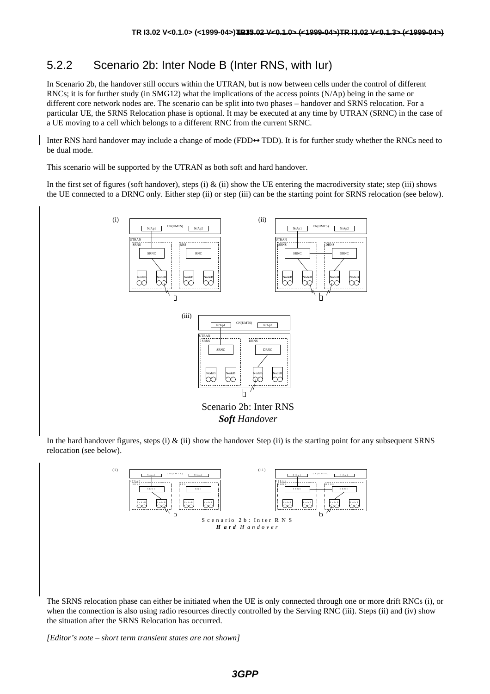#### 5.2.2 Scenario 2b: Inter Node B (Inter RNS, with Iur)

In Scenario 2b, the handover still occurs within the UTRAN, but is now between cells under the control of different RNCs; it is for further study (in SMG12) what the implications of the access points (N/Ap) being in the same or different core network nodes are. The scenario can be split into two phases – handover and SRNS relocation. For a particular UE, the SRNS Relocation phase is optional. It may be executed at any time by UTRAN (SRNC) in the case of a UE moving to a cell which belongs to a different RNC from the current SRNC.

Inter RNS hard handover may include a change of mode (FDD↔TDD). It is for further study whether the RNCs need to be dual mode.

This scenario will be supported by the UTRAN as both soft and hard handover.

In the first set of figures (soft handover), steps (i)  $\&$  (ii) show the UE entering the macrodiversity state; step (iii) shows the UE connected to a DRNC only. Either step (ii) or step (iii) can be the starting point for SRNS relocation (see below).



In the hard handover figures, steps (i) & (ii) show the handover Step (ii) is the starting point for any subsequent SRNS relocation (see below).



The SRNS relocation phase can either be initiated when the UE is only connected through one or more drift RNCs (i), or when the connection is also using radio resources directly controlled by the Serving RNC (iii). Steps (ii) and (iv) show the situation after the SRNS Relocation has occurred.

*[Editor's note – short term transient states are not shown]*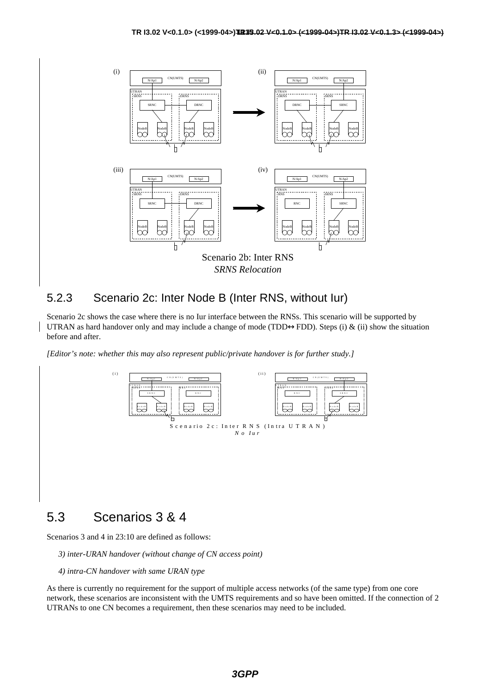

#### 5.2.3 Scenario 2c: Inter Node B (Inter RNS, without Iur)

Scenario 2c shows the case where there is no Iur interface between the RNSs. This scenario will be supported by UTRAN as hard handover only and may include a change of mode (TDD $\leftrightarrow$ FDD). Steps (i) & (ii) show the situation before and after.

*[Editor's note: whether this may also represent public/private handover is for further study.]*



#### 5.3 Scenarios 3 & 4

Scenarios 3 and 4 in 23:10 are defined as follows:

- *3) inter-URAN handover (without change of CN access point)*
- *4) intra-CN handover with same URAN type*

As there is currently no requirement for the support of multiple access networks (of the same type) from one core network, these scenarios are inconsistent with the UMTS requirements and so have been omitted. If the connection of 2 UTRANs to one CN becomes a requirement, then these scenarios may need to be included.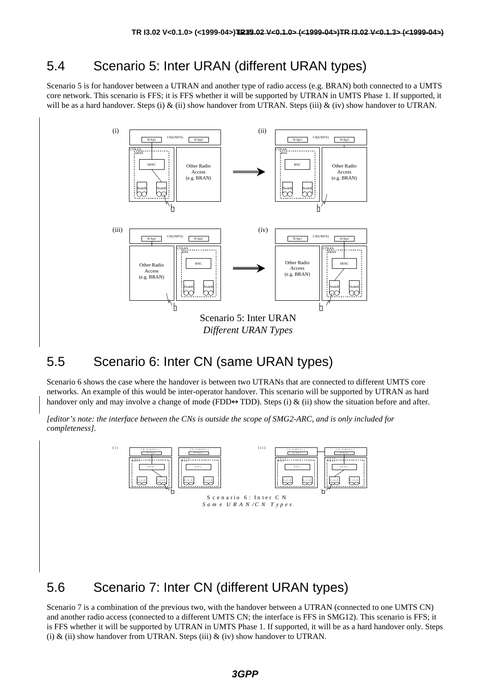#### 5.4 Scenario 5: Inter URAN (different URAN types)

Scenario 5 is for handover between a UTRAN and another type of radio access (e.g. BRAN) both connected to a UMTS core network. This scenario is FFS; it is FFS whether it will be supported by UTRAN in UMTS Phase 1. If supported, it will be as a hard handover. Steps (i)  $\&$  (ii) show handover from UTRAN. Steps (iii)  $\&$  (iv) show handover to UTRAN.



#### 5.5 Scenario 6: Inter CN (same URAN types)

Scenario 6 shows the case where the handover is between two UTRANs that are connected to different UMTS core networks. An example of this would be inter-operator handover. This scenario will be supported by UTRAN as hard handover only and may involve a change of mode (FDD $\leftrightarrow$ TDD). Steps (i) & (ii) show the situation before and after.

*[editor's note: the interface between the CNs is outside the scope of SMG2-ARC, and is only included for completeness].*



#### 5.6 Scenario 7: Inter CN (different URAN types)

Scenario 7 is a combination of the previous two, with the handover between a UTRAN (connected to one UMTS CN) and another radio access (connected to a different UMTS CN; the interface is FFS in SMG12). This scenario is FFS; it is FFS whether it will be supported by UTRAN in UMTS Phase 1. If supported, it will be as a hard handover only. Steps (i)  $\&$  (ii) show handover from UTRAN. Steps (iii)  $\&$  (iv) show handover to UTRAN.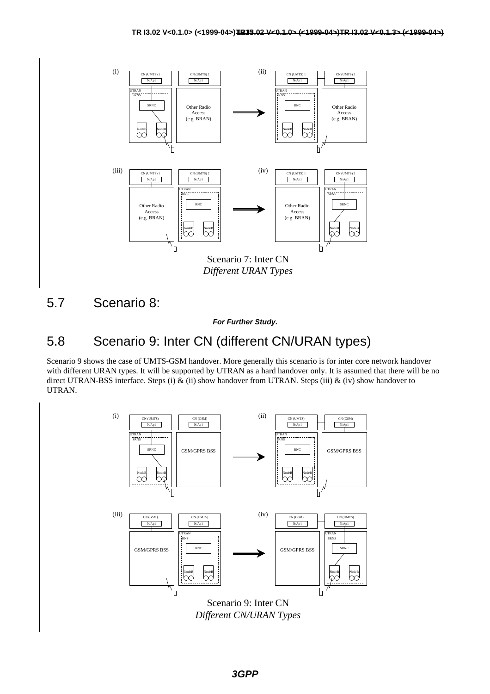

5.7 Scenario 8:

*For Further Study.*

#### 5.8 Scenario 9: Inter CN (different CN/URAN types)

Scenario 9 shows the case of UMTS-GSM handover. More generally this scenario is for inter core network handover with different URAN types. It will be supported by UTRAN as a hard handover only. It is assumed that there will be no direct UTRAN-BSS interface. Steps (i)  $\&$  (ii) show handover from UTRAN. Steps (iii)  $\&$  (iv) show handover to UTRAN.

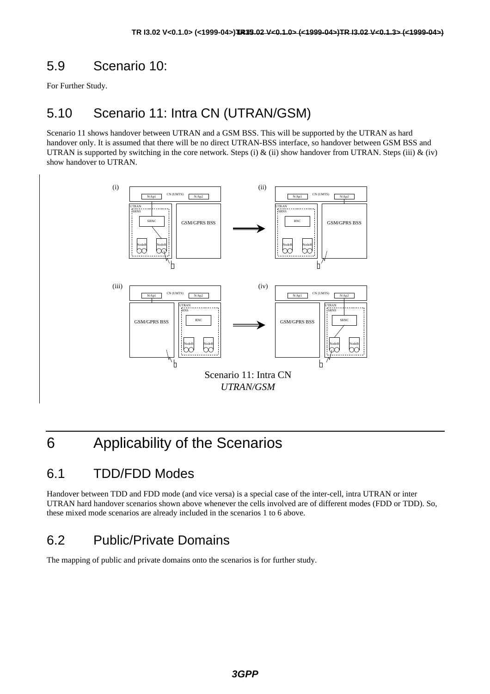### 5.9 Scenario 10:

For Further Study.

### 5.10 Scenario 11: Intra CN (UTRAN/GSM)

Scenario 11 shows handover between UTRAN and a GSM BSS. This will be supported by the UTRAN as hard handover only. It is assumed that there will be no direct UTRAN-BSS interface, so handover between GSM BSS and UTRAN is supported by switching in the core network. Steps (i) & (ii) show handover from UTRAN. Steps (iii) & (iv) show handover to UTRAN.



### 6 Applicability of the Scenarios

#### 6.1 TDD/FDD Modes

Handover between TDD and FDD mode (and vice versa) is a special case of the inter-cell, intra UTRAN or inter UTRAN hard handover scenarios shown above whenever the cells involved are of different modes (FDD or TDD). So, these mixed mode scenarios are already included in the scenarios 1 to 6 above.

#### 6.2 Public/Private Domains

The mapping of public and private domains onto the scenarios is for further study.